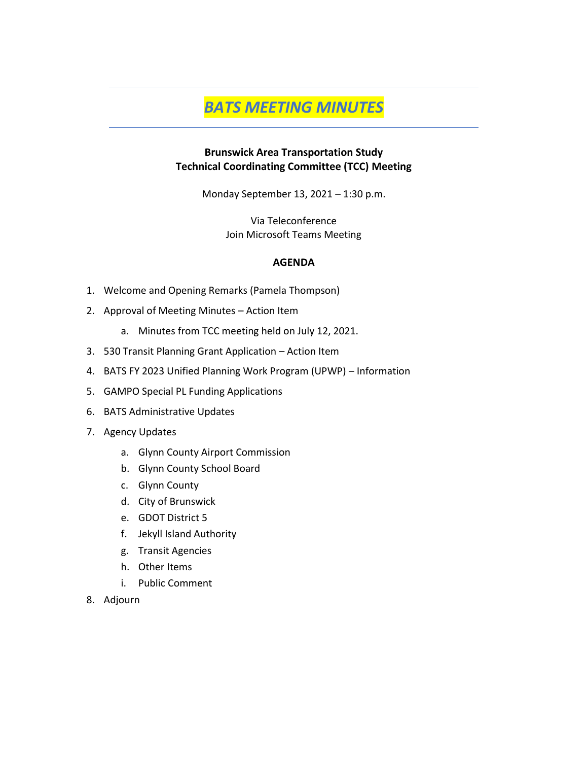# *BATS MEETING MINUTES*

#### **Brunswick Area Transportation Study Technical Coordinating Committee (TCC) Meeting**

Monday September 13, 2021 – 1:30 p.m.

Via Teleconference Join Microsoft Teams Meeting

#### **AGENDA**

- 1. Welcome and Opening Remarks (Pamela Thompson)
- 2. Approval of Meeting Minutes Action Item
	- a. Minutes from TCC meeting held on July 12, 2021.
- 3. 530 Transit Planning Grant Application Action Item
- 4. BATS FY 2023 Unified Planning Work Program (UPWP) Information
- 5. GAMPO Special PL Funding Applications
- 6. BATS Administrative Updates
- 7. Agency Updates
	- a. Glynn County Airport Commission
	- b. Glynn County School Board
	- c. Glynn County
	- d. City of Brunswick
	- e. GDOT District 5
	- f. Jekyll Island Authority
	- g. Transit Agencies
	- h. Other Items
	- i. Public Comment
- 8. Adjourn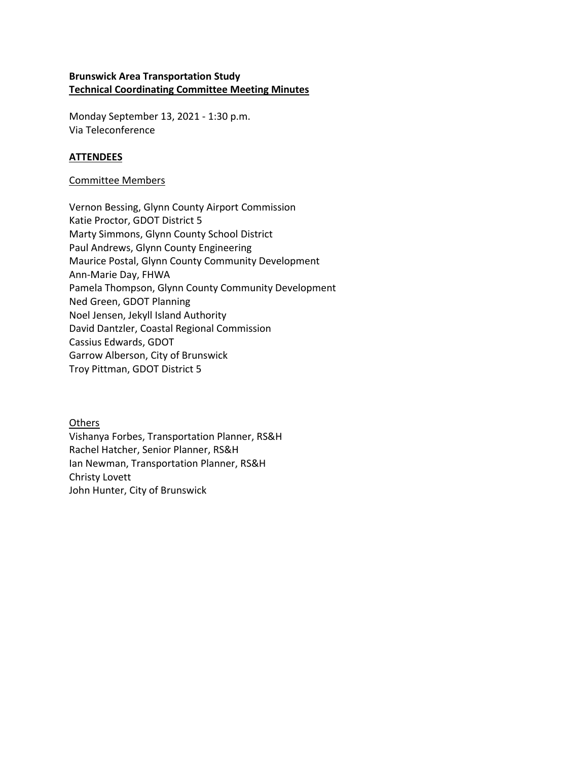#### **Brunswick Area Transportation Study Technical Coordinating Committee Meeting Minutes**

Monday September 13, 2021 - 1:30 p.m. Via Teleconference

#### **ATTENDEES**

#### Committee Members

Vernon Bessing, Glynn County Airport Commission Katie Proctor, GDOT District 5 Marty Simmons, Glynn County School District Paul Andrews, Glynn County Engineering Maurice Postal, Glynn County Community Development Ann-Marie Day, FHWA Pamela Thompson, Glynn County Community Development Ned Green, GDOT Planning Noel Jensen, Jekyll Island Authority David Dantzler, Coastal Regional Commission Cassius Edwards, GDOT Garrow Alberson, City of Brunswick Troy Pittman, GDOT District 5

**Others** Vishanya Forbes, Transportation Planner, RS&H Rachel Hatcher, Senior Planner, RS&H Ian Newman, Transportation Planner, RS&H Christy Lovett John Hunter, City of Brunswick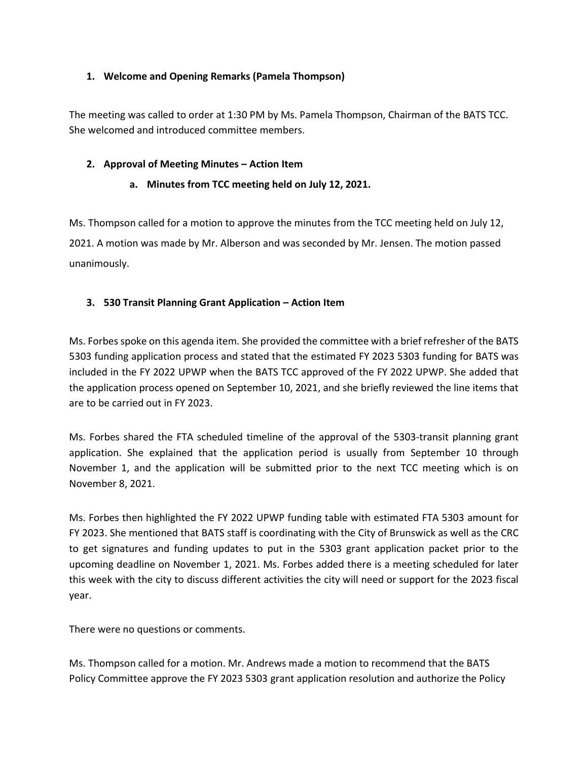#### **1. Welcome and Opening Remarks (Pamela Thompson)**

The meeting was called to order at 1:30 PM by Ms. Pamela Thompson, Chairman of the BATS TCC. She welcomed and introduced committee members.

#### **2. Approval of Meeting Minutes – Action Item**

#### **a. Minutes from TCC meeting held on July 12, 2021.**

Ms. Thompson called for a motion to approve the minutes from the TCC meeting held on July 12, 2021. A motion was made by Mr. Alberson and was seconded by Mr. Jensen. The motion passed unanimously.

#### **3. 530 Transit Planning Grant Application – Action Item**

Ms. Forbes spoke on this agenda item. She provided the committee with a brief refresher of the BATS 5303 funding application process and stated that the estimated FY 2023 5303 funding for BATS was included in the FY 2022 UPWP when the BATS TCC approved of the FY 2022 UPWP. She added that the application process opened on September 10, 2021, and she briefly reviewed the line items that are to be carried out in FY 2023.

Ms. Forbes shared the FTA scheduled timeline of the approval of the 5303-transit planning grant application. She explained that the application period is usually from September 10 through November 1, and the application will be submitted prior to the next TCC meeting which is on November 8, 2021.

Ms. Forbes then highlighted the FY 2022 UPWP funding table with estimated FTA 5303 amount for FY 2023. She mentioned that BATS staff is coordinating with the City of Brunswick as well as the CRC to get signatures and funding updates to put in the 5303 grant application packet prior to the upcoming deadline on November 1, 2021. Ms. Forbes added there is a meeting scheduled for later this week with the city to discuss different activities the city will need or support for the 2023 fiscal year.

There were no questions or comments.

Ms. Thompson called for a motion. Mr. Andrews made a motion to recommend that the BATS Policy Committee approve the FY 2023 5303 grant application resolution and authorize the Policy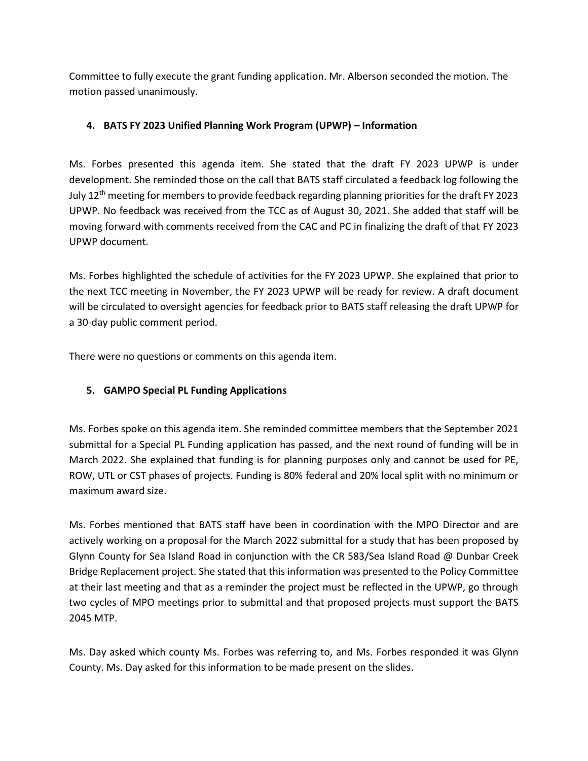Committee to fully execute the grant funding application. Mr. Alberson seconded the motion. The motion passed unanimously.

## **4. BATS FY 2023 Unified Planning Work Program (UPWP) – Information**

Ms. Forbes presented this agenda item. She stated that the draft FY 2023 UPWP is under development. She reminded those on the call that BATS staff circulated a feedback log following the July 12<sup>th</sup> meeting for members to provide feedback regarding planning priorities for the draft FY 2023 UPWP. No feedback was received from the TCC as of August 30, 2021. She added that staff will be moving forward with comments received from the CAC and PC in finalizing the draft of that FY 2023 UPWP document.

Ms. Forbes highlighted the schedule of activities for the FY 2023 UPWP. She explained that prior to the next TCC meeting in November, the FY 2023 UPWP will be ready for review. A draft document will be circulated to oversight agencies for feedback prior to BATS staff releasing the draft UPWP for a 30-day public comment period.

There were no questions or comments on this agenda item.

## **5. GAMPO Special PL Funding Applications**

Ms. Forbes spoke on this agenda item. She reminded committee members that the September 2021 submittal for a Special PL Funding application has passed, and the next round of funding will be in March 2022. She explained that funding is for planning purposes only and cannot be used for PE, ROW, UTL or CST phases of projects. Funding is 80% federal and 20% local split with no minimum or maximum award size.

Ms. Forbes mentioned that BATS staff have been in coordination with the MPO Director and are actively working on a proposal for the March 2022 submittal for a study that has been proposed by Glynn County for Sea Island Road in conjunction with the CR 583/Sea Island Road @ Dunbar Creek Bridge Replacement project. She stated that this information was presented to the Policy Committee at their last meeting and that as a reminder the project must be reflected in the UPWP, go through two cycles of MPO meetings prior to submittal and that proposed projects must support the BATS 2045 MTP.

Ms. Day asked which county Ms. Forbes was referring to, and Ms. Forbes responded it was Glynn County. Ms. Day asked for this information to be made present on the slides.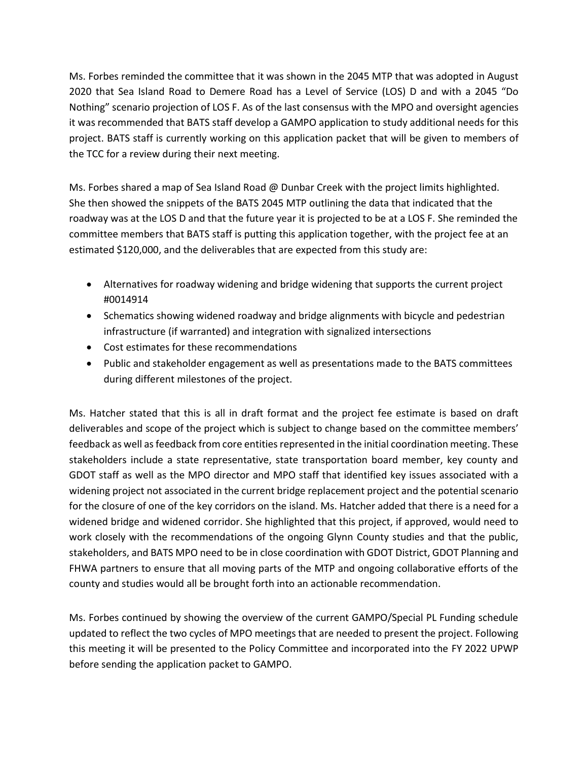Ms. Forbes reminded the committee that it was shown in the 2045 MTP that was adopted in August 2020 that Sea Island Road to Demere Road has a Level of Service (LOS) D and with a 2045 "Do Nothing" scenario projection of LOS F. As of the last consensus with the MPO and oversight agencies it was recommended that BATS staff develop a GAMPO application to study additional needs for this project. BATS staff is currently working on this application packet that will be given to members of the TCC for a review during their next meeting.

Ms. Forbes shared a map of Sea Island Road @ Dunbar Creek with the project limits highlighted. She then showed the snippets of the BATS 2045 MTP outlining the data that indicated that the roadway was at the LOS D and that the future year it is projected to be at a LOS F. She reminded the committee members that BATS staff is putting this application together, with the project fee at an estimated \$120,000, and the deliverables that are expected from this study are:

- Alternatives for roadway widening and bridge widening that supports the current project #0014914
- Schematics showing widened roadway and bridge alignments with bicycle and pedestrian infrastructure (if warranted) and integration with signalized intersections
- Cost estimates for these recommendations
- Public and stakeholder engagement as well as presentations made to the BATS committees during different milestones of the project.

Ms. Hatcher stated that this is all in draft format and the project fee estimate is based on draft deliverables and scope of the project which is subject to change based on the committee members' feedback as well as feedback from core entities represented in the initial coordination meeting. These stakeholders include a state representative, state transportation board member, key county and GDOT staff as well as the MPO director and MPO staff that identified key issues associated with a widening project not associated in the current bridge replacement project and the potential scenario for the closure of one of the key corridors on the island. Ms. Hatcher added that there is a need for a widened bridge and widened corridor. She highlighted that this project, if approved, would need to work closely with the recommendations of the ongoing Glynn County studies and that the public, stakeholders, and BATS MPO need to be in close coordination with GDOT District, GDOT Planning and FHWA partners to ensure that all moving parts of the MTP and ongoing collaborative efforts of the county and studies would all be brought forth into an actionable recommendation.

Ms. Forbes continued by showing the overview of the current GAMPO/Special PL Funding schedule updated to reflect the two cycles of MPO meetings that are needed to present the project. Following this meeting it will be presented to the Policy Committee and incorporated into the FY 2022 UPWP before sending the application packet to GAMPO.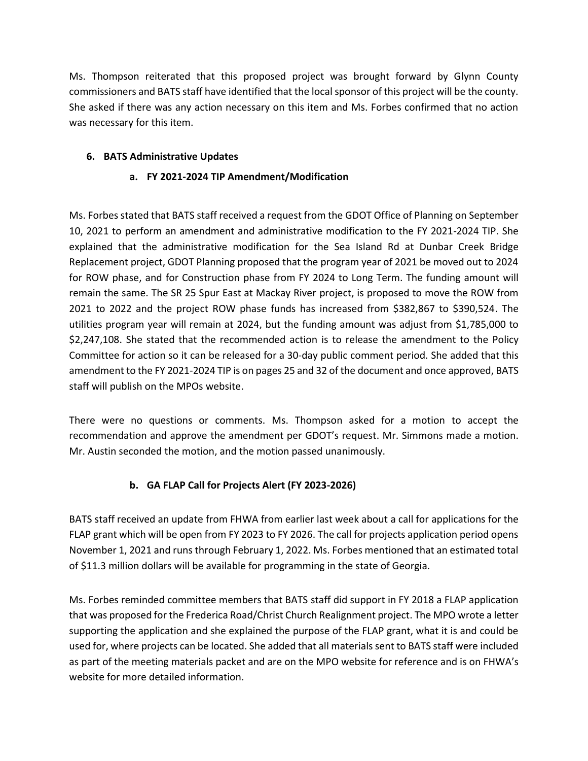Ms. Thompson reiterated that this proposed project was brought forward by Glynn County commissioners and BATS staff have identified that the local sponsor of this project will be the county. She asked if there was any action necessary on this item and Ms. Forbes confirmed that no action was necessary for this item.

## **6. BATS Administrative Updates**

#### **a. FY 2021-2024 TIP Amendment/Modification**

Ms. Forbes stated that BATS staff received a request from the GDOT Office of Planning on September 10, 2021 to perform an amendment and administrative modification to the FY 2021-2024 TIP. She explained that the administrative modification for the Sea Island Rd at Dunbar Creek Bridge Replacement project, GDOT Planning proposed that the program year of 2021 be moved out to 2024 for ROW phase, and for Construction phase from FY 2024 to Long Term. The funding amount will remain the same. The SR 25 Spur East at Mackay River project, is proposed to move the ROW from 2021 to 2022 and the project ROW phase funds has increased from \$382,867 to \$390,524. The utilities program year will remain at 2024, but the funding amount was adjust from \$1,785,000 to \$2,247,108. She stated that the recommended action is to release the amendment to the Policy Committee for action so it can be released for a 30-day public comment period. She added that this amendment to the FY 2021-2024 TIP is on pages 25 and 32 of the document and once approved, BATS staff will publish on the MPOs website.

There were no questions or comments. Ms. Thompson asked for a motion to accept the recommendation and approve the amendment per GDOT's request. Mr. Simmons made a motion. Mr. Austin seconded the motion, and the motion passed unanimously.

## **b. GA FLAP Call for Projects Alert (FY 2023-2026)**

BATS staff received an update from FHWA from earlier last week about a call for applications for the FLAP grant which will be open from FY 2023 to FY 2026. The call for projects application period opens November 1, 2021 and runs through February 1, 2022. Ms. Forbes mentioned that an estimated total of \$11.3 million dollars will be available for programming in the state of Georgia.

Ms. Forbes reminded committee members that BATS staff did support in FY 2018 a FLAP application that was proposed for the Frederica Road/Christ Church Realignment project. The MPO wrote a letter supporting the application and she explained the purpose of the FLAP grant, what it is and could be used for, where projects can be located. She added that all materials sent to BATS staff were included as part of the meeting materials packet and are on the MPO website for reference and is on FHWA's website for more detailed information.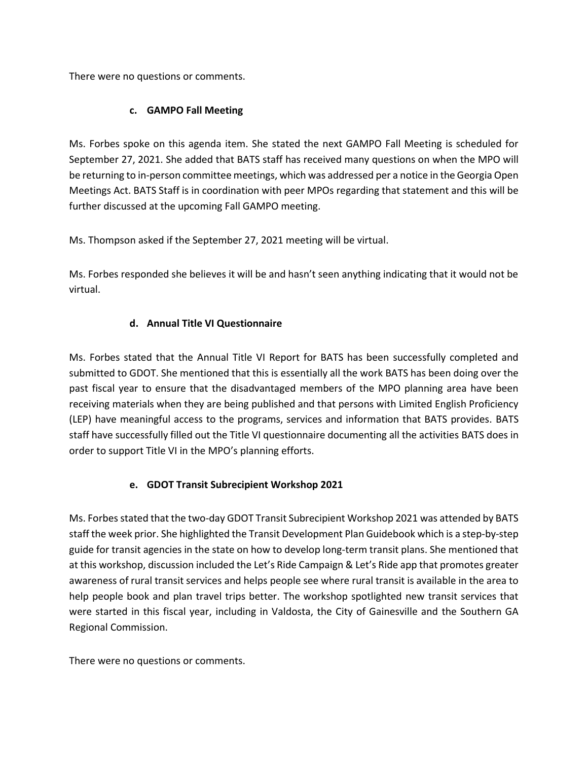There were no questions or comments.

### **c. GAMPO Fall Meeting**

Ms. Forbes spoke on this agenda item. She stated the next GAMPO Fall Meeting is scheduled for September 27, 2021. She added that BATS staff has received many questions on when the MPO will be returning to in-person committee meetings, which was addressed per a notice in the Georgia Open Meetings Act. BATS Staff is in coordination with peer MPOs regarding that statement and this will be further discussed at the upcoming Fall GAMPO meeting.

Ms. Thompson asked if the September 27, 2021 meeting will be virtual.

Ms. Forbes responded she believes it will be and hasn't seen anything indicating that it would not be virtual.

#### **d. Annual Title VI Questionnaire**

Ms. Forbes stated that the Annual Title VI Report for BATS has been successfully completed and submitted to GDOT. She mentioned that this is essentially all the work BATS has been doing over the past fiscal year to ensure that the disadvantaged members of the MPO planning area have been receiving materials when they are being published and that persons with Limited English Proficiency (LEP) have meaningful access to the programs, services and information that BATS provides. BATS staff have successfully filled out the Title VI questionnaire documenting all the activities BATS does in order to support Title VI in the MPO's planning efforts.

## **e. GDOT Transit Subrecipient Workshop 2021**

Ms. Forbes stated that the two-day GDOT Transit Subrecipient Workshop 2021 was attended by BATS staff the week prior. She highlighted the Transit Development Plan Guidebook which is a step-by-step guide for transit agencies in the state on how to develop long-term transit plans. She mentioned that at this workshop, discussion included the Let's Ride Campaign & Let's Ride app that promotes greater awareness of rural transit services and helps people see where rural transit is available in the area to help people book and plan travel trips better. The workshop spotlighted new transit services that were started in this fiscal year, including in Valdosta, the City of Gainesville and the Southern GA Regional Commission.

There were no questions or comments.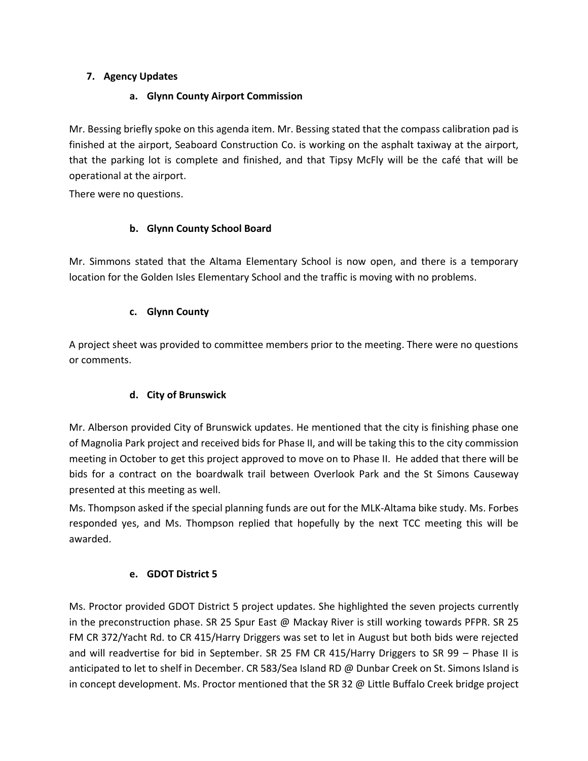### **7. Agency Updates**

#### **a. Glynn County Airport Commission**

Mr. Bessing briefly spoke on this agenda item. Mr. Bessing stated that the compass calibration pad is finished at the airport, Seaboard Construction Co. is working on the asphalt taxiway at the airport, that the parking lot is complete and finished, and that Tipsy McFly will be the café that will be operational at the airport.

There were no questions.

## **b. Glynn County School Board**

Mr. Simmons stated that the Altama Elementary School is now open, and there is a temporary location for the Golden Isles Elementary School and the traffic is moving with no problems.

#### **c. Glynn County**

A project sheet was provided to committee members prior to the meeting. There were no questions or comments.

## **d. City of Brunswick**

Mr. Alberson provided City of Brunswick updates. He mentioned that the city is finishing phase one of Magnolia Park project and received bids for Phase II, and will be taking this to the city commission meeting in October to get this project approved to move on to Phase II. He added that there will be bids for a contract on the boardwalk trail between Overlook Park and the St Simons Causeway presented at this meeting as well.

Ms. Thompson asked if the special planning funds are out for the MLK-Altama bike study. Ms. Forbes responded yes, and Ms. Thompson replied that hopefully by the next TCC meeting this will be awarded.

## **e. GDOT District 5**

Ms. Proctor provided GDOT District 5 project updates. She highlighted the seven projects currently in the preconstruction phase. SR 25 Spur East @ Mackay River is still working towards PFPR. SR 25 FM CR 372/Yacht Rd. to CR 415/Harry Driggers was set to let in August but both bids were rejected and will readvertise for bid in September. SR 25 FM CR 415/Harry Driggers to SR 99 – Phase II is anticipated to let to shelf in December. CR 583/Sea Island RD @ Dunbar Creek on St. Simons Island is in concept development. Ms. Proctor mentioned that the SR 32 @ Little Buffalo Creek bridge project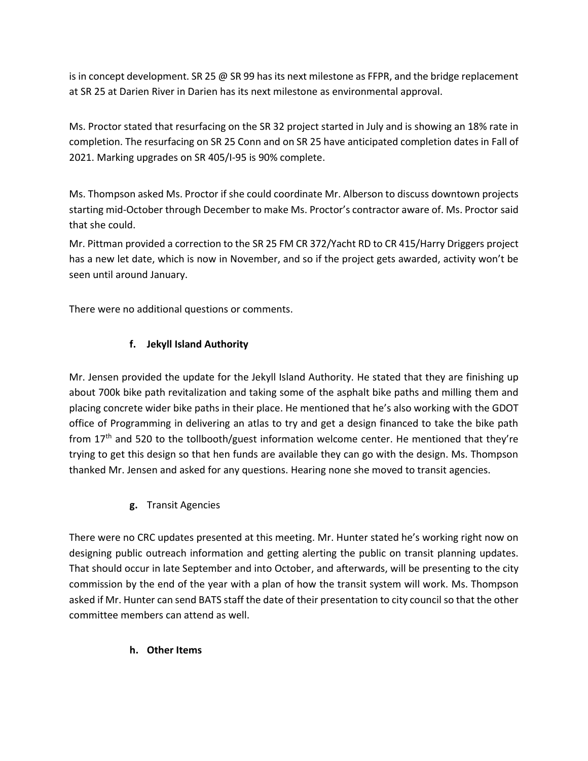is in concept development. SR 25 @ SR 99 has its next milestone as FFPR, and the bridge replacement at SR 25 at Darien River in Darien has its next milestone as environmental approval.

Ms. Proctor stated that resurfacing on the SR 32 project started in July and is showing an 18% rate in completion. The resurfacing on SR 25 Conn and on SR 25 have anticipated completion dates in Fall of 2021. Marking upgrades on SR 405/I-95 is 90% complete.

Ms. Thompson asked Ms. Proctor if she could coordinate Mr. Alberson to discuss downtown projects starting mid-October through December to make Ms. Proctor's contractor aware of. Ms. Proctor said that she could.

Mr. Pittman provided a correction to the SR 25 FM CR 372/Yacht RD to CR 415/Harry Driggers project has a new let date, which is now in November, and so if the project gets awarded, activity won't be seen until around January.

There were no additional questions or comments.

## **f. Jekyll Island Authority**

Mr. Jensen provided the update for the Jekyll Island Authority. He stated that they are finishing up about 700k bike path revitalization and taking some of the asphalt bike paths and milling them and placing concrete wider bike paths in their place. He mentioned that he's also working with the GDOT office of Programming in delivering an atlas to try and get a design financed to take the bike path from  $17<sup>th</sup>$  and 520 to the tollbooth/guest information welcome center. He mentioned that they're trying to get this design so that hen funds are available they can go with the design. Ms. Thompson thanked Mr. Jensen and asked for any questions. Hearing none she moved to transit agencies.

**g.** Transit Agencies

There were no CRC updates presented at this meeting. Mr. Hunter stated he's working right now on designing public outreach information and getting alerting the public on transit planning updates. That should occur in late September and into October, and afterwards, will be presenting to the city commission by the end of the year with a plan of how the transit system will work. Ms. Thompson asked if Mr. Hunter can send BATS staff the date of their presentation to city council so that the other committee members can attend as well.

## **h. Other Items**